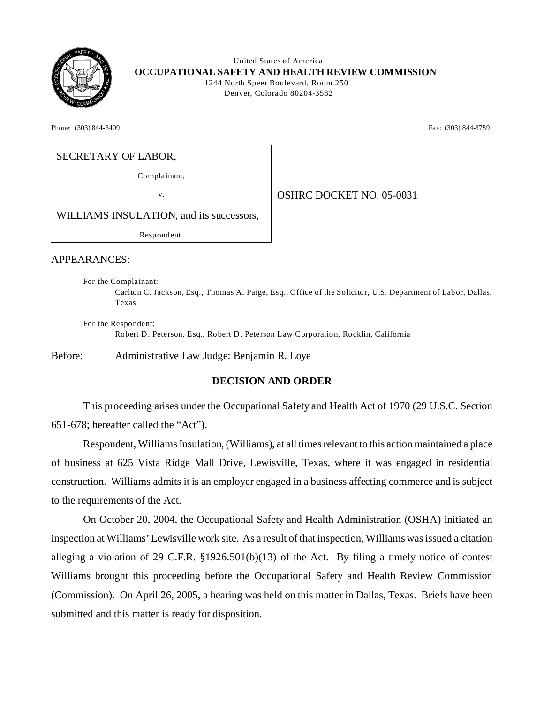

 United States of America **OCCUPATIONAL SAFETY AND HEALTH REVIEW COMMISSION** 1244 North Speer Boulevard, Room 250 Denver, Colorado 80204-3582

Phone: (303) 844-3409 **Fax:** (303) 844-3759

# SECRETARY OF LABOR,

Complainant,

v. 05-0031

WILLIAMS INSULATION, and its successors,

Resp ond ent.

#### APPEARANCES:

For the Complainant: Carlton C. Jackson, Esq., Thomas A. Paige, Esq., Office of the Solicitor, U.S. Dep artment of Lab or, Dallas, Texas

For the Respondent: Robert D. Peterson, Esq., Robert D. Peterson Law Corporation, Rocklin, California

Before: Administrative Law Judge: Benjamin R. Loye

### **DECISION AND ORDER**

This proceeding arises under the Occupational Safety and Health Act of 1970 (29 U.S.C. Section 651-678; hereafter called the "Act").

Respondent, Williams Insulation, (Williams), at all times relevant to this action maintained a place of business at 625 Vista Ridge Mall Drive, Lewisville, Texas, where it was engaged in residential construction. Williams admits it is an employer engaged in a business affecting commerce and is subject to the requirements of the Act.

On October 20, 2004, the Occupational Safety and Health Administration (OSHA) initiated an inspection at Williams' Lewisville work site. As a result of that inspection, Williams was issued a citation alleging a violation of 29 C.F.R. §1926.501(b)(13) of the Act. By filing a timely notice of contest Williams brought this proceeding before the Occupational Safety and Health Review Commission (Commission). On April 26, 2005, a hearing was held on this matter in Dallas, Texas. Briefs have been submitted and this matter is ready for disposition.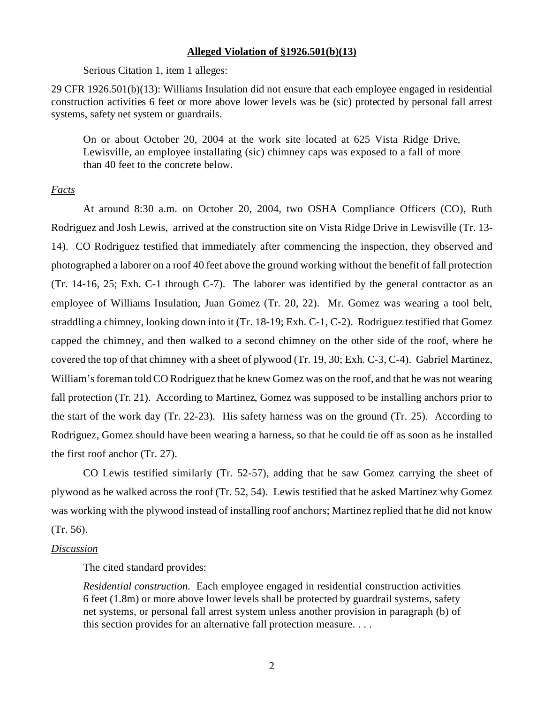#### **Alleged Violation of §1926.501(b)(13)**

Serious Citation 1, item 1 alleges:

29 CFR 1926.501(b)(13): Williams Insulation did not ensure that each employee engaged in residential construction activities 6 feet or more above lower levels was be (sic) protected by personal fall arrest systems, safety net system or guardrails.

On or about October 20, 2004 at the work site located at 625 Vista Ridge Drive, Lewisville, an employee installating (sic) chimney caps was exposed to a fall of more than 40 feet to the concrete below.

### *Facts*

At around 8:30 a.m. on October 20, 2004, two OSHA Compliance Officers (CO), Ruth Rodriguez and Josh Lewis, arrived at the construction site on Vista Ridge Drive in Lewisville (Tr. 13 14). CO Rodriguez testified that immediately after commencing the inspection, they observed and photographed a laborer on a roof 40 feet above the ground working without the benefit of fall protection (Tr. 14-16, 25; Exh. C-1 through C-7). The laborer was identified by the general contractor as an employee of Williams Insulation, Juan Gomez (Tr. 20, 22). Mr. Gomez was wearing a tool belt, straddling a chimney, looking down into it (Tr. 18-19; Exh. C-1, C-2). Rodriguez testified that Gomez capped the chimney, and then walked to a second chimney on the other side of the roof, where he covered the top of that chimney with a sheet of plywood (Tr. 19, 30; Exh. C-3, C-4). Gabriel Martinez, William's foreman told CO Rodriguez that he knew Gomez was on the roof, and that he was not wearing fall protection (Tr. 21). According to Martinez, Gomez was supposed to be installing anchors prior to the start of the work day (Tr. 22-23). His safety harness was on the ground (Tr. 25). According to Rodriguez, Gomez should have been wearing a harness, so that he could tie off as soon as he installed the first roof anchor (Tr. 27).

CO Lewis testified similarly (Tr. 52-57), adding that he saw Gomez carrying the sheet of plywood as he walked across the roof (Tr. 52, 54). Lewis testified that he asked Martinez why Gomez was working with the plywood instead of installing roof anchors; Martinez replied that he did not know (Tr. 56).

#### *Discussion*

The cited standard provides:

*Residential construction*. Each employee engaged in residential construction activities 6 feet (1.8m) or more above lower levels shall be protected by guardrail systems, safety net systems, or personal fall arrest system unless another provision in paragraph (b) of this section provides for an alternative fall protection measure. . . .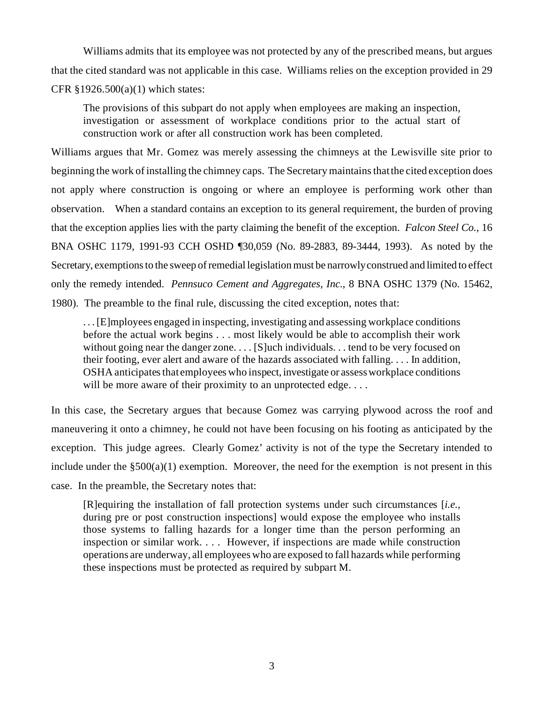Williams admits that its employee was not protected by any of the prescribed means, but argues that the cited standard was not applicable in this case. Williams relies on the exception provided in 29 CFR §1926.500(a)(1) which states:

The provisions of this subpart do not apply when employees are making an inspection, investigation or assessment of workplace conditions prior to the actual start of construction work or after all construction work has been completed.

Williams argues that Mr. Gomez was merely assessing the chimneys at the Lewisville site prior to beginning the work of installing the chimney caps. The Secretary maintains that the cited exception does not apply where construction is ongoing or where an employee is performing work other than observation. When a standard contains an exception to its general requirement, the burden of proving that the exception applies lies with the party claiming the benefit of the exception. *Falcon Steel Co.*, 16 BNA OSHC 1179, 1991-93 CCH OSHD ¶30,059 (No. 89-2883, 89-3444, 1993). As noted by the Secretary, exemptions to the sweep of remedial legislation must be narrowly construed and limited to effect only the remedy intended. *Pennsuco Cement and Aggregates, Inc.*, 8 BNA OSHC 1379 (No. 15462, 1980). The preamble to the final rule, discussing the cited exception, notes that:

. . . [E]mployees engaged in inspecting, investigating and assessing workplace conditions before the actual work begins . . . most likely would be able to accomplish their work without going near the danger zone. . . . [S]uch individuals. . . tend to be very focused on their footing, ever alert and aware of the hazards associated with falling. . . . In addition, OSHA anticipates that employees who inspect, investigate or assess workplace conditions will be more aware of their proximity to an unprotected edge....

In this case, the Secretary argues that because Gomez was carrying plywood across the roof and maneuvering it onto a chimney, he could not have been focusing on his footing as anticipated by the exception. This judge agrees. Clearly Gomez' activity is not of the type the Secretary intended to include under the  $\S500(a)(1)$  exemption. Moreover, the need for the exemption is not present in this case. In the preamble, the Secretary notes that:

[R]equiring the installation of fall protection systems under such circumstances [*i.e.,*  during pre or post construction inspections] would expose the employee who installs those systems to falling hazards for a longer time than the person performing an inspection or similar work. . . . However, if inspections are made while construction operations are underway, all employees who are exposed to fall hazards while performing these inspections must be protected as required by subpart M.